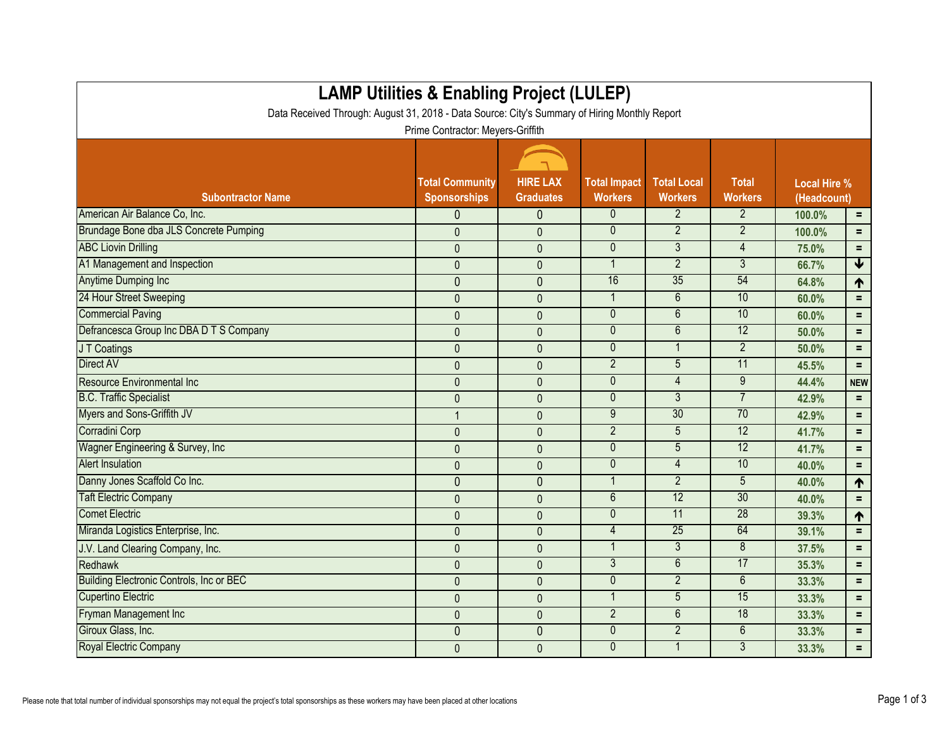| <b>LAMP Utilities &amp; Enabling Project (LULEP)</b>                                          |                                               |                                     |                                       |                                      |                                |                                    |                 |  |
|-----------------------------------------------------------------------------------------------|-----------------------------------------------|-------------------------------------|---------------------------------------|--------------------------------------|--------------------------------|------------------------------------|-----------------|--|
| Data Received Through: August 31, 2018 - Data Source: City's Summary of Hiring Monthly Report |                                               |                                     |                                       |                                      |                                |                                    |                 |  |
| Prime Contractor: Meyers-Griffith                                                             |                                               |                                     |                                       |                                      |                                |                                    |                 |  |
|                                                                                               |                                               |                                     |                                       |                                      |                                |                                    |                 |  |
| <b>Subontractor Name</b>                                                                      | <b>Total Community</b><br><b>Sponsorships</b> | <b>HIRE LAX</b><br><b>Graduates</b> | <b>Total Impact</b><br><b>Workers</b> | <b>Total Local</b><br><b>Workers</b> | <b>Total</b><br><b>Workers</b> | <b>Local Hire %</b><br>(Headcount) |                 |  |
| American Air Balance Co, Inc.                                                                 | $\mathbf{0}$                                  | $\mathbf 0$                         | 0                                     | $\overline{2}$                       | $\overline{2}$                 | 100.0%<br>$\equiv$                 |                 |  |
| Brundage Bone dba JLS Concrete Pumping                                                        | $\mathbf{0}$                                  | $\mathbf{0}$                        | $\mathbf{0}$                          | $\overline{2}$                       | $\overline{2}$                 | 100.0%                             | $=$             |  |
| <b>ABC Liovin Drilling</b>                                                                    | $\mathbf{0}$                                  | $\mathbf{0}$                        | $\mathbf{0}$                          | 3                                    | 4                              | 75.0%                              | $=$             |  |
| A1 Management and Inspection                                                                  | $\mathbf 0$                                   | $\mathbf{0}$                        | 1                                     | $\overline{2}$                       | 3                              | 66.7%                              | $\blacklozenge$ |  |
| <b>Anytime Dumping Inc</b>                                                                    | $\overline{0}$                                | $\mathbf{0}$                        | 16                                    | 35                                   | 54                             | 64.8%                              | ↑               |  |
| 24 Hour Street Sweeping                                                                       | $\mathbf 0$                                   | $\mathbf{0}$                        | $\mathbf{1}$                          | 6                                    | 10                             | 60.0%                              | $=$             |  |
| <b>Commercial Paving</b>                                                                      | $\mathbf{0}$                                  | $\mathbf{0}$                        | $\mathbf 0$                           | 6                                    | 10                             | 60.0%                              | $=$             |  |
| Defrancesca Group Inc DBA D T S Company                                                       | $\mathbf 0$                                   | $\overline{0}$                      | $\mathbf{0}$                          | $\overline{6}$                       | 12                             | 50.0%                              | $=$             |  |
| J T Coatings                                                                                  | $\mathbf{0}$                                  | $\mathbf{0}$                        | $\mathbf 0$                           | $\mathbf 1$                          | $\overline{2}$                 | 50.0%                              | $=$             |  |
| Direct AV                                                                                     | $\mathbf{0}$                                  | $\mathbf{0}$                        | $\overline{2}$                        | $\overline{5}$                       | 11                             | 45.5%                              | $=$             |  |
| <b>Resource Environmental Inc</b>                                                             | $\mathbf 0$                                   | $\mathbf{0}$                        | $\overline{0}$                        | $\overline{4}$                       | 9                              | 44.4%                              | <b>NEW</b>      |  |
| <b>B.C. Traffic Specialist</b>                                                                | $\mathbf 0$                                   | $\mathbf 0$                         | $\mathbf 0$                           | 3                                    | 7                              | 42.9%                              | $=$             |  |
| Myers and Sons-Griffith JV                                                                    |                                               | $\mathbf{0}$                        | 9                                     | 30                                   | 70                             | 42.9%                              | $=$             |  |
| Corradini Corp                                                                                | $\mathbf 0$                                   | $\mathbf{0}$                        | $\overline{2}$                        | 5                                    | $\overline{12}$                | 41.7%                              | $=$             |  |
| Wagner Engineering & Survey, Inc.                                                             | $\mathbf{0}$                                  | $\mathbf{0}$                        | $\mathbf 0$                           | 5                                    | 12                             | 41.7%                              | $=$             |  |
| <b>Alert Insulation</b>                                                                       | $\pmb{0}$                                     | $\mathbf{0}$                        | $\mathbf{0}$                          | 4                                    | 10                             | 40.0%                              | $\equiv$        |  |
| Danny Jones Scaffold Co Inc.                                                                  | $\mathbf{0}$                                  | $\mathbf{0}$                        | $\mathbf 1$                           | $\overline{2}$                       | 5                              | 40.0%                              | 1               |  |
| <b>Taft Electric Company</b>                                                                  | $\mathbf{0}$                                  | $\mathbf{0}$                        | $6\phantom{.}6$                       | 12                                   | 30                             | 40.0%                              | $=$             |  |
| <b>Comet Electric</b>                                                                         | $\mathbf 0$                                   | $\mathbf 0$                         | $\mathbf 0$                           | 11                                   | $\overline{28}$                | 39.3%                              | 1               |  |
| Miranda Logistics Enterprise, Inc.                                                            | $\mathbf 0$                                   | $\mathbf{0}$                        | 4                                     | 25                                   | 64                             | 39.1%                              | $=$             |  |
| J.V. Land Clearing Company, Inc.                                                              | $\mathbf{0}$                                  | $\mathbf{0}$                        | $\mathbf 1$                           | 3                                    | 8                              | 37.5%                              | $=$             |  |
| Redhawk                                                                                       | $\boldsymbol{0}$                              | $\mathbf 0$                         | 3                                     | 6                                    | 17                             | 35.3%                              | $\equiv$        |  |
| Building Electronic Controls, Inc or BEC                                                      | $\mathbf 0$                                   | 0                                   | 0                                     | $\overline{2}$                       | 6                              | 33.3%                              | $=$ .           |  |
| <b>Cupertino Electric</b>                                                                     | $\pmb{0}$                                     | $\pmb{0}$                           |                                       | 5                                    | 15                             | 33.3%                              | $=$             |  |
| Fryman Management Inc                                                                         | $\mathbf 0$                                   | $\mathbf 0$                         | $2\overline{ }$                       | $6\phantom{1}$                       | 18                             | 33.3%                              | $=$             |  |
| Giroux Glass, Inc.                                                                            | 0                                             | $\mathbf 0$                         | $\boldsymbol{0}$                      | $\overline{2}$                       | 6                              | 33.3%                              | $\equiv$        |  |
| Royal Electric Company                                                                        | $\mathbf 0$                                   | $\pmb{0}$                           | $\pmb{0}$                             | $\mathbf{1}$                         | $\mathfrak{Z}$                 | 33.3%                              | $\equiv$ .      |  |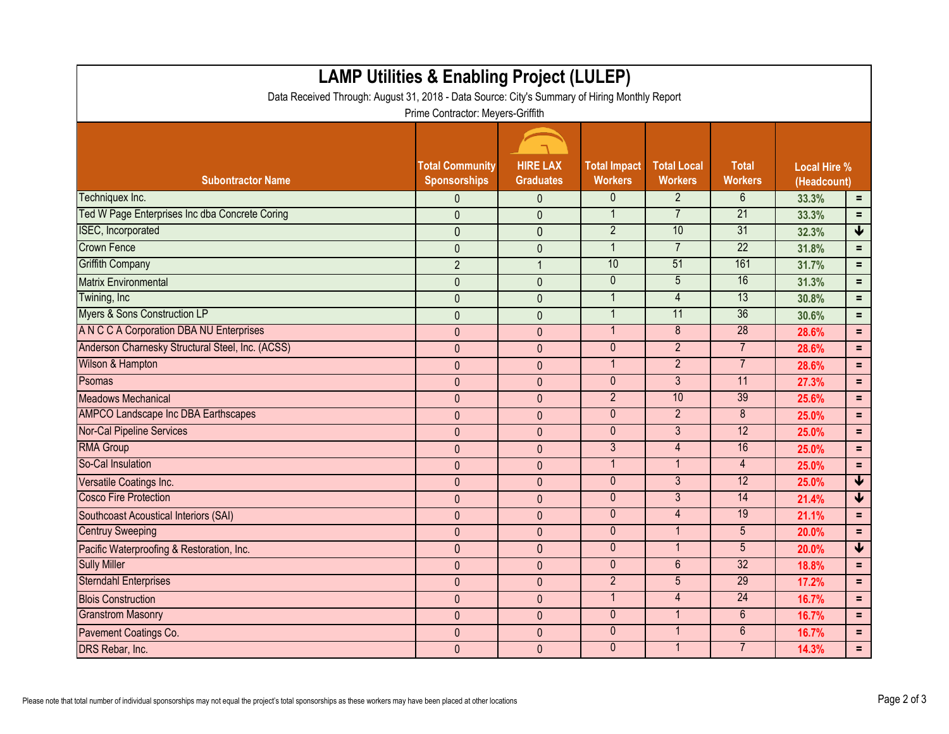| <b>LAMP Utilities &amp; Enabling Project (LULEP)</b><br>Data Received Through: August 31, 2018 - Data Source: City's Summary of Hiring Monthly Report<br>Prime Contractor: Meyers-Griffith |                                               |                                     |                                       |                                      |                                |                                    |                      |  |
|--------------------------------------------------------------------------------------------------------------------------------------------------------------------------------------------|-----------------------------------------------|-------------------------------------|---------------------------------------|--------------------------------------|--------------------------------|------------------------------------|----------------------|--|
| <b>Subontractor Name</b>                                                                                                                                                                   | <b>Total Community</b><br><b>Sponsorships</b> | <b>HIRE LAX</b><br><b>Graduates</b> | <b>Total Impact</b><br><b>Workers</b> | <b>Total Local</b><br><b>Workers</b> | <b>Total</b><br><b>Workers</b> | <b>Local Hire %</b><br>(Headcount) |                      |  |
| Techniquex Inc.                                                                                                                                                                            | $\mathbf{0}$                                  | $\mathbf{0}$                        | 0                                     | $\overline{2}$                       | 6                              | 33.3%                              | $\equiv$             |  |
| Ted W Page Enterprises Inc dba Concrete Coring                                                                                                                                             | $\mathbf{0}$                                  | $\mathbf{0}$                        | $\mathbf{1}$                          | $\overline{7}$                       | $\overline{21}$                | 33.3%                              | $=$                  |  |
| <b>ISEC, Incorporated</b>                                                                                                                                                                  | $\overline{0}$                                | $\overline{0}$                      | $\overline{2}$                        | 10                                   | 31                             | 32.3%                              | $\blacklozenge$      |  |
| <b>Crown Fence</b>                                                                                                                                                                         | $\mathbf 0$                                   | $\mathbf{0}$                        | 1                                     | $\overline{7}$                       | 22                             | 31.8%                              | $=$                  |  |
| <b>Griffith Company</b>                                                                                                                                                                    | $\overline{2}$                                |                                     | 10                                    | 51                                   | 161                            | 31.7%                              | $=$                  |  |
| <b>Matrix Environmental</b>                                                                                                                                                                | $\mathbf 0$                                   | $\mathbf{0}$                        | $\mathbf 0$                           | 5                                    | 16                             | 31.3%                              | $=$                  |  |
| Twining, Inc                                                                                                                                                                               | $\mathbf{0}$                                  | $\mathbf{0}$                        | $\overline{1}$                        | 4                                    | 13                             | 30.8%                              | $=$                  |  |
| <b>Myers &amp; Sons Construction LP</b>                                                                                                                                                    | $\overline{0}$                                | $\mathbf{0}$                        | $\mathbf{1}$                          | 11                                   | 36                             | 30.6%                              | $=$                  |  |
| A N C C A Corporation DBA NU Enterprises                                                                                                                                                   | $\mathbf{0}$                                  | $\mathbf{0}$                        | $\mathbf 1$                           | 8                                    | 28                             | 28.6%                              | $=$                  |  |
| Anderson Charnesky Structural Steel, Inc. (ACSS)                                                                                                                                           | $\mathbf{0}$                                  | $\mathbf{0}$                        | $\pmb{0}$                             | $\overline{2}$                       | $\overline{7}$                 | 28.6%                              | $=$                  |  |
| Wilson & Hampton                                                                                                                                                                           | $\mathbf{0}$                                  | $\mathbf{0}$                        | $\overline{\mathbf{1}}$               | $\overline{2}$                       | $\overline{7}$                 | 28.6%                              | $\equiv$             |  |
| Psomas                                                                                                                                                                                     | $\mathbf{0}$                                  | $\mathbf{0}$                        | $\mathbf 0$                           | 3                                    | 11                             | 27.3%                              | $\equiv$             |  |
| <b>Meadows Mechanical</b>                                                                                                                                                                  | $\mathbf{0}$                                  | $\mathbf{0}$                        | $\overline{2}$                        | 10                                   | 39                             | 25.6%                              | $\equiv$             |  |
| <b>AMPCO Landscape Inc DBA Earthscapes</b>                                                                                                                                                 | $\mathbf{0}$                                  | $\overline{0}$                      | $\mathbf{0}$                          | $\overline{2}$                       | 8                              | 25.0%                              | $\equiv$             |  |
| <b>Nor-Cal Pipeline Services</b>                                                                                                                                                           | $\mathbf{0}$                                  | $\mathbf{0}$                        | $\mathbf 0$                           | 3                                    | 12                             | 25.0%                              | $=$                  |  |
| <b>RMA Group</b>                                                                                                                                                                           | $\pmb{0}$                                     | $\mathbf{0}$                        | $\mathfrak{Z}$                        | 4                                    | 16                             | 25.0%                              | $\equiv$             |  |
| So-Cal Insulation                                                                                                                                                                          | $\mathbf{0}$                                  | $\overline{0}$                      | $\mathbf 1$                           | $\mathbf{1}$                         | $\overline{4}$                 | 25.0%                              | $\equiv$             |  |
| Versatile Coatings Inc.                                                                                                                                                                    | $\mathbf{0}$                                  | $\mathbf{0}$                        | $\mathbf{0}$                          | 3                                    | 12                             | 25.0%                              | $\blacklozenge$      |  |
| <b>Cosco Fire Protection</b>                                                                                                                                                               | $\mathbf{0}$                                  | $\mathbf{0}$                        | $\mathbf{0}$                          | $\overline{3}$                       | 14                             | 21.4%                              | $\blacktriangledown$ |  |
| <b>Southcoast Acoustical Interiors (SAI)</b>                                                                                                                                               | $\mathbf{0}$                                  | $\mathbf{0}$                        | $\mathbf 0$                           | 4                                    | 19                             | 21.1%                              | $\equiv$             |  |
| <b>Centruy Sweeping</b>                                                                                                                                                                    | $\mathbf{0}$                                  | $\mathbf{0}$                        | $\mathbf{0}$                          | $\mathbf 1$                          | 5                              | 20.0%                              | $=$                  |  |
| Pacific Waterproofing & Restoration, Inc.                                                                                                                                                  | $\mathbf{0}$                                  | $\theta$                            | $\mathbf 0$                           | $\mathbf{1}$                         | 5                              | 20.0%                              | ₩                    |  |
| <b>Sully Miller</b>                                                                                                                                                                        | $\mathbf{0}$                                  | $\mathbf{0}$                        | $\mathbf{0}$                          | 6                                    | 32                             | 18.8%                              | $\equiv$             |  |
| <b>Sterndahl Enterprises</b>                                                                                                                                                               | $\mathbf 0$                                   | $\pmb{0}$                           | $\overline{2}$                        | $5\phantom{.0}$                      | 29                             | 17.2%                              | $\equiv$             |  |
| <b>Blois Construction</b>                                                                                                                                                                  | $\mathbf 0$                                   | $\pmb{0}$                           | $\mathbf{1}$                          | $\overline{4}$                       | 24                             | 16.7%                              | $\equiv$             |  |
| <b>Granstrom Masonry</b>                                                                                                                                                                   | $\mathbf 0$                                   | $\mathbf 0$                         | $\mathbf{0}$                          | 1                                    | $6^{\circ}$                    | 16.7%                              | $\equiv$             |  |
| Pavement Coatings Co.                                                                                                                                                                      | $\pmb{0}$                                     | $\pmb{0}$                           | $\mathbf 0$                           | $\mathbf{1}$                         | $6\phantom{.}$                 | 16.7%                              | $\equiv$             |  |
| DRS Rebar, Inc.                                                                                                                                                                            | $\pmb{0}$                                     | $\pmb{0}$                           | $\boldsymbol{0}$                      | $\mathbf{1}$                         | $7^{\circ}$                    | 14.3%                              | $\equiv$             |  |

r.

E.